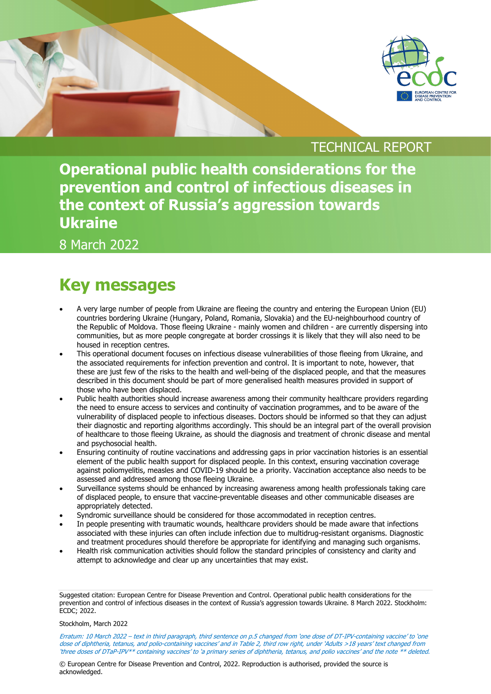

### TECHNICAL REPORT

**Operational public health considerations for the prevention and control of infectious diseases in the context of Russia's aggression towards Ukraine**

8 March 2022

## **Key messages**

- A very large number of people from Ukraine are fleeing the country and entering the European Union (EU) countries bordering Ukraine (Hungary, Poland, Romania, Slovakia) and the EU-neighbourhood country of the Republic of Moldova. Those fleeing Ukraine - mainly women and children - are currently dispersing into communities, but as more people congregate at border crossings it is likely that they will also need to be housed in reception centres.
- This operational document focuses on infectious disease vulnerabilities of those fleeing from Ukraine, and the associated requirements for infection prevention and control. It is important to note, however, that these are just few of the risks to the health and well-being of the displaced people, and that the measures described in this document should be part of more generalised health measures provided in support of those who have been displaced.
- Public health authorities should increase awareness among their community healthcare providers regarding the need to ensure access to services and continuity of vaccination programmes, and to be aware of the vulnerability of displaced people to infectious diseases. Doctors should be informed so that they can adjust their diagnostic and reporting algorithms accordingly. This should be an integral part of the overall provision of healthcare to those fleeing Ukraine, as should the diagnosis and treatment of chronic disease and mental and psychosocial health.
- Ensuring continuity of routine vaccinations and addressing gaps in prior vaccination histories is an essential element of the public health support for displaced people. In this context, ensuring vaccination coverage against poliomyelitis, measles and COVID-19 should be a priority. Vaccination acceptance also needs to be assessed and addressed among those fleeing Ukraine.
- Surveillance systems should be enhanced by increasing awareness among health professionals taking care of displaced people, to ensure that vaccine-preventable diseases and other communicable diseases are appropriately detected.
- Syndromic surveillance should be considered for those accommodated in reception centres.
- In people presenting with traumatic wounds, healthcare providers should be made aware that infections associated with these injuries can often include infection due to multidrug-resistant organisms. Diagnostic and treatment procedures should therefore be appropriate for identifying and managing such organisms.
- Health risk communication activities should follow the standard principles of consistency and clarity and attempt to acknowledge and clear up any uncertainties that may exist.

#### Stockholm, March 2022

Erratum: 10 March 2022 – text in third paragraph, third sentence on p.5 changed from 'one dose of DT-IPV-containing vaccine' to 'one dose of diphtheria, tetanus, and polio-containing vaccines' and in Table 2, third row right, under 'Adults >18 years' text changed from 'three doses of DTaP-IPV\*\* containing vaccines' to 'a primary series of diphtheria, tetanus, and polio vaccines' and the note \*\* deleted.

© European Centre for Disease Prevention and Control, 2022. Reproduction is authorised, provided the source is acknowledged.

Suggested citation: European Centre for Disease Prevention and Control. Operational public health considerations for the prevention and control of infectious diseases in the context of Russia's aggression towards Ukraine. 8 March 2022. Stockholm: ECDC; 2022.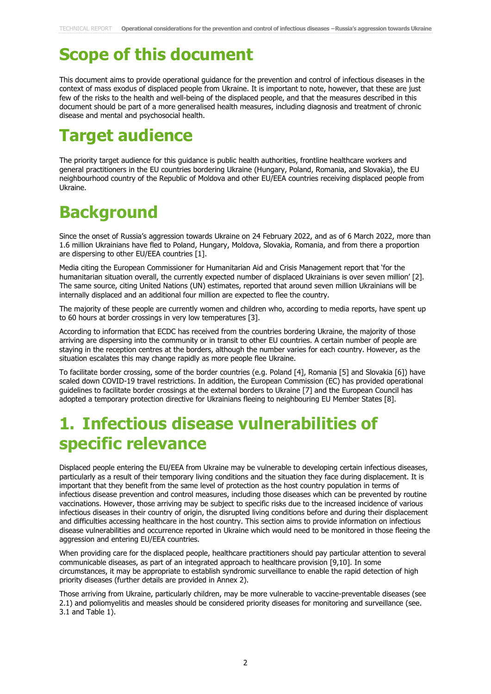# **Scope of this document**

This document aims to provide operational guidance for the prevention and control of infectious diseases in the context of mass exodus of displaced people from Ukraine. It is important to note, however, that these are just few of the risks to the health and well-being of the displaced people, and that the measures described in this document should be part of a more generalised health measures, including diagnosis and treatment of chronic disease and mental and psychosocial health.

## **Target audience**

The priority target audience for this guidance is public health authorities, frontline healthcare workers and general practitioners in the EU countries bordering Ukraine (Hungary, Poland, Romania, and Slovakia), the EU neighbourhood country of the Republic of Moldova and other EU/EEA countries receiving displaced people from Ukraine.

## **Background**

Since the onset of Russia's aggression towards Ukraine on 24 February 2022, and as of 6 March 2022, more than 1.6 million Ukrainians have fled to Poland, Hungary, Moldova, Slovakia, Romania, and from there a proportion are dispersing to other EU/EEA countries [1].

Media citing the European Commissioner for Humanitarian Aid and Crisis Management report that 'for the humanitarian situation overall, the currently expected number of displaced Ukrainians is over seven million' [2]. The same source, citing United Nations (UN) estimates, reported that around seven million Ukrainians will be internally displaced and an additional four million are expected to flee the country.

The majority of these people are currently women and children who, according to media reports, have spent up to 60 hours at border crossings in very low temperatures [3].

According to information that ECDC has received from the countries bordering Ukraine, the majority of those arriving are dispersing into the community or in transit to other EU countries. A certain number of people are staying in the reception centres at the borders, although the number varies for each country. However, as the situation escalates this may change rapidly as more people flee Ukraine.

To facilitate border crossing, some of the border countries (e.g. Poland [4], Romania [5] and Slovakia [6]) have scaled down COVID-19 travel restrictions. In addition, the European Commission (EC) has provided operational guidelines to facilitate border crossings at the external borders to Ukraine [7] and the European Council has adopted a temporary protection directive for Ukrainians fleeing to neighbouring EU Member States [8].

# **1. Infectious disease vulnerabilities of specific relevance**

Displaced people entering the EU/EEA from Ukraine may be vulnerable to developing certain infectious diseases, particularly as a result of their temporary living conditions and the situation they face during displacement. It is important that they benefit from the same level of protection as the host country population in terms of infectious disease prevention and control measures, including those diseases which can be prevented by routine vaccinations. However, those arriving may be subject to specific risks due to the increased incidence of various infectious diseases in their country of origin, the disrupted living conditions before and during their displacement and difficulties accessing healthcare in the host country. This section aims to provide information on infectious disease vulnerabilities and occurrence reported in Ukraine which would need to be monitored in those fleeing the aggression and entering EU/EEA countries.

When providing care for the displaced people, healthcare practitioners should pay particular attention to several communicable diseases, as part of an integrated approach to healthcare provision [9,10]. In some circumstances, it may be appropriate to establish syndromic surveillance to enable the rapid detection of high priority diseases (further details are provided in Annex 2).

Those arriving from Ukraine, particularly children, may be more vulnerable to vaccine-preventable diseases (see 2.1) and poliomyelitis and measles should be considered priority diseases for monitoring and surveillance (see. 3.1 and Table 1).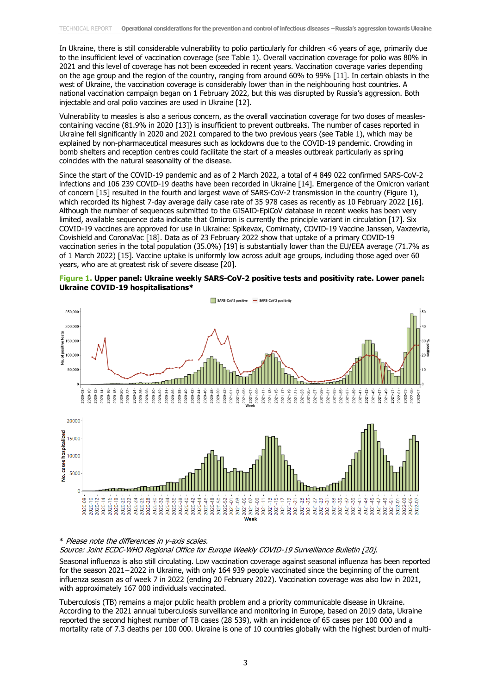In Ukraine, there is still considerable vulnerability to polio particularly for children <6 years of age, primarily due to the insufficient level of vaccination coverage (see Table 1). Overall vaccination coverage for polio was 80% in 2021 and this level of coverage has not been exceeded in recent years. Vaccination coverage varies depending on the age group and the region of the country, ranging from around 60% to 99% [11]. In certain oblasts in the west of Ukraine, the vaccination coverage is considerably lower than in the neighbouring host countries. A national vaccination campaign began on 1 February 2022, but this was disrupted by Russia's aggression. Both injectable and oral polio vaccines are used in Ukraine [12].

Vulnerability to measles is also a serious concern, as the overall vaccination coverage for two doses of measlescontaining vaccine (81.9% in 2020 [13]) is insufficient to prevent outbreaks. The number of cases reported in Ukraine fell significantly in 2020 and 2021 compared to the two previous years (see Table 1), which may be explained by non-pharmaceutical measures such as lockdowns due to the COVID-19 pandemic. Crowding in bomb shelters and reception centres could facilitate the start of a measles outbreak particularly as spring coincides with the natural seasonality of the disease.

Since the start of the COVID-19 pandemic and as of 2 March 2022, a total of 4 849 022 confirmed SARS-CoV-2 infections and 106 239 COVID-19 deaths have been recorded in Ukraine [14]. Emergence of the Omicron variant of concern [15] resulted in the fourth and largest wave of SARS-CoV-2 transmission in the country (Figure 1), which recorded its highest 7-day average daily case rate of 35 978 cases as recently as 10 February 2022 [16]. Although the number of sequences submitted to the GISAID-EpiCoV database in recent weeks has been very limited, available sequence data indicate that Omicron is currently the principle variant in circulation [17]. Six COVID-19 vaccines are approved for use in Ukraine: Spikevax, Comirnaty, COVID-19 Vaccine Janssen, Vaxzevria, Covishield and CoronaVac [18]. Data as of 23 February 2022 show that uptake of a primary COVID-19 vaccination series in the total population (35.0%) [19] is substantially lower than the EU/EEA average (71.7% as of 1 March 2022) [15]. Vaccine uptake is uniformly low across adult age groups, including those aged over 60 years, who are at greatest risk of severe disease [20].





#### \* Please note the differences in y-axis scales.

Source: Joint ECDC-WHO Regional Office for Europe Weekly COVID-19 Surveillance Bulletin [20].

Seasonal influenza is also still circulating. Low vaccination coverage against seasonal influenza has been reported for the season 2021−2022 in Ukraine, with only 164 939 people vaccinated since the beginning of the current influenza season as of week 7 in 2022 (ending 20 February 2022). Vaccination coverage was also low in 2021, with approximately 167 000 individuals vaccinated.

Tuberculosis (TB) remains a major public health problem and a priority communicable disease in Ukraine. According to the 2021 annual tuberculosis surveillance and monitoring in Europe, based on 2019 data, Ukraine reported the second highest number of TB cases (28 539), with an incidence of 65 cases per 100 000 and a mortality rate of 7.3 deaths per 100 000. Ukraine is one of 10 countries globally with the highest burden of multi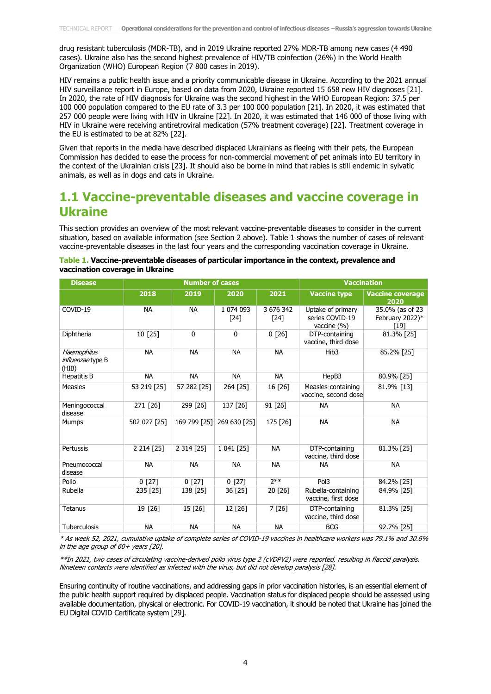drug resistant tuberculosis (MDR-TB), and in 2019 Ukraine reported 27% MDR-TB among new cases (4 490 cases). Ukraine also has the second highest prevalence of HIV/TB coinfection (26%) in the World Health Organization (WHO) European Region (7 800 cases in 2019).

HIV remains a public health issue and a priority communicable disease in Ukraine. According to the 2021 annual HIV surveillance report in Europe, based on data from 2020, Ukraine reported 15 658 new HIV diagnoses [21]. In 2020, the rate of HIV diagnosis for Ukraine was the second highest in the WHO European Region: 37.5 per 100 000 population compared to the EU rate of 3.3 per 100 000 population [21]. In 2020, it was estimated that 257 000 people were living with HIV in Ukraine [22]. In 2020, it was estimated that 146 000 of those living with HIV in Ukraine were receiving antiretroviral medication (57% treatment coverage) [22]. Treatment coverage in the EU is estimated to be at 82% [22].

Given that reports in the media have described displaced Ukrainians as fleeing with their pets, the European Commission has decided to ease the process for non-commercial movement of pet animals into EU territory in the context of the Ukrainian crisis [23]. It should also be borne in mind that rabies is still endemic in sylvatic animals, as well as in dogs and cats in Ukraine.

### **1.1 Vaccine-preventable diseases and vaccine coverage in Ukraine**

This section provides an overview of the most relevant vaccine-preventable diseases to consider in the current situation, based on available information (see Section 2 above). Table 1 shows the number of cases of relevant vaccine-preventable diseases in the last four years and the corresponding vaccination coverage in Ukraine.

| Table 1. Vaccine-preventable diseases of particular importance in the context, prevalence and |  |
|-----------------------------------------------------------------------------------------------|--|
| vaccination coverage in Ukraine                                                               |  |

| <b>Disease</b>                                   | <b>Number of cases</b> |              |                   | <b>Vaccination</b> |                                                     |                                            |
|--------------------------------------------------|------------------------|--------------|-------------------|--------------------|-----------------------------------------------------|--------------------------------------------|
|                                                  | 2018                   | 2019         | 2020              | 2021               | <b>Vaccine type</b>                                 | <b>Vaccine coverage</b><br>2020            |
| COVID-19                                         | <b>NA</b>              | <b>NA</b>    | 1 074 093<br>[24] | 3 676 342<br>[24]  | Uptake of primary<br>series COVID-19<br>vaccine (%) | 35.0% (as of 23<br>February 2022)*<br>[19] |
| Diphtheria                                       | 10 [25]                | $\Omega$     | $\mathbf{0}$      | 0[26]              | DTP-containing<br>vaccine, third dose               | 81.3% [25]                                 |
| Haemophilus<br><i>influenzae</i> type B<br>(HIB) | <b>NA</b>              | <b>NA</b>    | <b>NA</b>         | <b>NA</b>          | Hib <sub>3</sub>                                    | 85.2% [25]                                 |
| <b>Hepatitis B</b>                               | <b>NA</b>              | <b>NA</b>    | <b>NA</b>         | <b>NA</b>          | HepB3                                               | 80.9% [25]                                 |
| <b>Measles</b>                                   | 53 219 [25]            | 57 282 [25]  | 264 [25]          | 16 [26]            | Measles-containing<br>vaccine, second dose          | 81.9% [13]                                 |
| Meningococcal<br>disease                         | 271 [26]               | 299 [26]     | 137 [26]          | 91 [26]            | <b>NA</b>                                           | <b>NA</b>                                  |
| <b>Mumps</b>                                     | 502 027 [25]           | 169 799 [25] | 269 630 [25]      | 175 [26]           | <b>NA</b>                                           | <b>NA</b>                                  |
| Pertussis                                        | 2 2 14 [25]            | 2 314 [25]   | 1 041 [25]        | <b>NA</b>          | DTP-containing<br>vaccine, third dose               | 81.3% [25]                                 |
| Pneumococcal<br>disease                          | <b>NA</b>              | <b>NA</b>    | <b>NA</b>         | <b>NA</b>          | <b>NA</b>                                           | <b>NA</b>                                  |
| Polio                                            | 0[27]                  | 0[27]        | 0[27]             | $7**$              | Pol3                                                | 84.2% [25]                                 |
| Rubella                                          | 235 [25]               | 138 [25]     | 36 [25]           | 20 [26]            | Rubella-containing<br>vaccine, first dose           | 84.9% [25]                                 |
| Tetanus                                          | 19 [26]                | 15 [26]      | 12 [26]           | 7 [26]             | DTP-containing<br>vaccine, third dose               | 81.3% [25]                                 |
| <b>Tuberculosis</b>                              | <b>NA</b>              | <b>NA</b>    | <b>NA</b>         | <b>NA</b>          | <b>BCG</b>                                          | 92.7% [25]                                 |

\* As week 52, 2021, cumulative uptake of complete series of COVID-19 vaccines in healthcare workers was 79.1% and 30.6% in the age group of  $60+$  years  $[20]$ .

\*\*In 2021, two cases of circulating vaccine-derived polio virus type 2 (cVDPV2) were reported, resulting in flaccid paralysis. Nineteen contacts were identified as infected with the virus, but did not develop paralysis [28].

Ensuring continuity of routine vaccinations, and addressing gaps in prior vaccination histories, is an essential element of the public health support required by displaced people. Vaccination status for displaced people should be assessed using available documentation, physical or electronic. For COVID-19 vaccination, it should be noted that Ukraine has joined the EU Digital COVID Certificate system [29].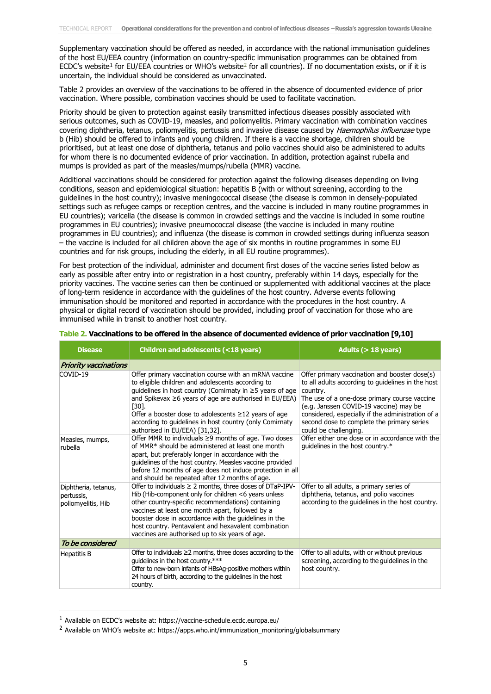Supplementary vaccination should be offered as needed, in accordance with the national immunisation guidelines of the host EU/EEA country (information on country-specific immunisation programmes can be obtained from ECDC's website<sup>[1](#page-4-0)</sup> for EU/EEA countries or WHO's website<sup>[2](#page-4-1)</sup> for all countries). If no documentation exists, or if it is uncertain, the individual should be considered as unvaccinated.

Table 2 provides an overview of the vaccinations to be offered in the absence of documented evidence of prior vaccination. Where possible, combination vaccines should be used to facilitate vaccination.

Priority should be given to protection against easily transmitted infectious diseases possibly associated with serious outcomes, such as COVID-19, measles, and poliomyelitis. Primary vaccination with combination vaccines covering diphtheria, tetanus, poliomyelitis, pertussis and invasive disease caused by Haemophilus influenzae type b (Hib) should be offered to infants and young children. If there is a vaccine shortage, children should be prioritised, but at least one dose of diphtheria, tetanus and polio vaccines should also be administered to adults for whom there is no documented evidence of prior vaccination. In addition, protection against rubella and mumps is provided as part of the measles/mumps/rubella (MMR) vaccine.

Additional vaccinations should be considered for protection against the following diseases depending on living conditions, season and epidemiological situation: hepatitis B (with or without screening, according to the guidelines in the host country); invasive meningococcal disease (the disease is common in densely-populated settings such as refugee camps or reception centres, and the vaccine is included in many routine programmes in EU countries); varicella (the disease is common in crowded settings and the vaccine is included in some routine programmes in EU countries); invasive pneumococcal disease (the vaccine is included in many routine programmes in EU countries); and influenza (the disease is common in crowded settings during influenza season – the vaccine is included for all children above the age of six months in routine programmes in some EU countries and for risk groups, including the elderly, in all EU routine programmes).

For best protection of the individual, administer and document first doses of the vaccine series listed below as early as possible after entry into or registration in a host country, preferably within 14 days, especially for the priority vaccines. The vaccine series can then be continued or supplemented with additional vaccines at the place of long-term residence in accordance with the guidelines of the host country. Adverse events following immunisation should be monitored and reported in accordance with the procedures in the host country. A physical or digital record of vaccination should be provided, including proof of vaccination for those who are immunised while in transit to another host country.

| <b>Disease</b>                                           | Children and adolescents (<18 years)                                                                                                                                                                                                                                                                                                                                                                         | Adults ( $>$ 18 years)                                                                                                                                                                                                                                                                                                               |
|----------------------------------------------------------|--------------------------------------------------------------------------------------------------------------------------------------------------------------------------------------------------------------------------------------------------------------------------------------------------------------------------------------------------------------------------------------------------------------|--------------------------------------------------------------------------------------------------------------------------------------------------------------------------------------------------------------------------------------------------------------------------------------------------------------------------------------|
| <b>Priority vaccinations</b>                             |                                                                                                                                                                                                                                                                                                                                                                                                              |                                                                                                                                                                                                                                                                                                                                      |
| COVID-19                                                 | Offer primary vaccination course with an mRNA vaccine<br>to eligible children and adolescents according to<br>guidelines in host country (Comirnaty in ≥5 years of age<br>and Spikevax $\geq 6$ years of age are authorised in EU/EEA)<br>$[30].$<br>Offer a booster dose to adolescents $\geq$ 12 years of age<br>according to guidelines in host country (only Comirnaty<br>authorised in EU/EEA) [31,32]. | Offer primary vaccination and booster dose(s)<br>to all adults according to guidelines in the host<br>country.<br>The use of a one-dose primary course vaccine<br>(e.g. Janssen COVID-19 vaccine) may be<br>considered, especially if the administration of a<br>second dose to complete the primary series<br>could be challenging. |
| Measles, mumps,<br>rubella                               | Offer MMR to individuals ≥9 months of age. Two doses<br>of MMR* should be administered at least one month<br>apart, but preferably longer in accordance with the<br>guidelines of the host country. Measles vaccine provided<br>before 12 months of age does not induce protection in all<br>and should be repeated after 12 months of age.                                                                  | Offer either one dose or in accordance with the<br>guidelines in the host country.*                                                                                                                                                                                                                                                  |
| Diphtheria, tetanus,<br>pertussis,<br>poliomyelitis, Hib | Offer to individuals ≥ 2 months, three doses of DTaP-IPV-<br>Hib (Hib-component only for children $<$ 6 years unless<br>other country-specific recommendations) containing<br>vaccines at least one month apart, followed by a<br>booster dose in accordance with the guidelines in the<br>host country. Pentavalent and hexavalent combination<br>vaccines are authorised up to six years of age.           | Offer to all adults, a primary series of<br>diphtheria, tetanus, and polio vaccines<br>according to the guidelines in the host country.                                                                                                                                                                                              |
| To be considered                                         |                                                                                                                                                                                                                                                                                                                                                                                                              |                                                                                                                                                                                                                                                                                                                                      |
| <b>Hepatitis B</b>                                       | Offer to individuals $\geq$ months, three doses according to the<br>quidelines in the host country.***<br>Offer to new-born infants of HBsAg-positive mothers within<br>24 hours of birth, according to the quidelines in the host<br>country.                                                                                                                                                               | Offer to all adults, with or without previous<br>screening, according to the guidelines in the<br>host country.                                                                                                                                                                                                                      |

#### **Table 2. Vaccinations to be offered in the absence of documented evidence of prior vaccination [9,10]**

<span id="page-4-0"></span><sup>1</sup> Available on ECDC's website at: https://vaccine-schedule.ecdc.europa.eu/

<span id="page-4-1"></span><sup>&</sup>lt;sup>2</sup> Available on WHO's website at: https://apps.who.int/immunization\_monitoring/globalsummary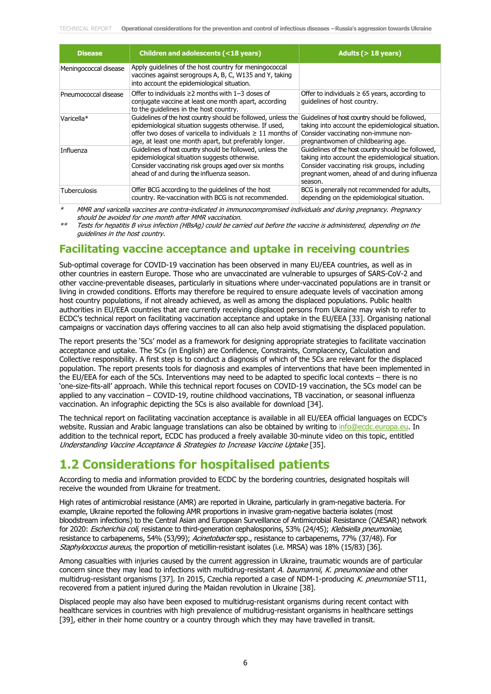| <b>Disease</b>        | Children and adolescents (<18 years)                                                                                                                                                                                                                | Adults ( $>$ 18 years)                                                                                                                                                                                              |
|-----------------------|-----------------------------------------------------------------------------------------------------------------------------------------------------------------------------------------------------------------------------------------------------|---------------------------------------------------------------------------------------------------------------------------------------------------------------------------------------------------------------------|
| Meningococcal disease | Apply guidelines of the host country for meningococcal<br>vaccines against serogroups A, B, C, W135 and Y, taking<br>into account the epidemiological situation.                                                                                    |                                                                                                                                                                                                                     |
| Pneumococcal disease  | Offer to individuals $\geq 2$ months with 1-3 doses of<br>conjugate vaccine at least one month apart, according<br>to the quidelines in the host country.                                                                                           | Offer to individuals $\geq 65$ years, according to<br>quidelines of host country.                                                                                                                                   |
| Varicella*            | Guidelines of the host country should be followed, unless the<br>epidemiological situation suggests otherwise. If used,<br>offer two doses of varicella to individuals $\geq 11$ months of<br>age, at least one month apart, but preferably longer. | Guidelines of host country should be followed,<br>taking into account the epidemiological situation.<br>Consider vaccinating non-immune non-<br>pregnantwomen of childbearing age.                                  |
| Influenza             | Guidelines of host country should be followed, unless the<br>epidemiological situation suggests otherwise.<br>Consider vaccinating risk groups aged over six months<br>ahead of and during the influenza season.                                    | Guidelines of the host country should be followed,<br>taking into account the epidemiological situation.<br>Consider vaccinating risk groups, including<br>pregnant women, ahead of and during influenza<br>season. |
| <b>Tuberculosis</b>   | Offer BCG according to the guidelines of the host<br>country. Re-vaccination with BCG is not recommended.                                                                                                                                           | BCG is generally not recommended for adults,<br>depending on the epidemiological situation.                                                                                                                         |

MMR and varicella vaccines are contra-indicated in immunocompromised individuals and during pregnancy. Pregnancy should be avoided for one month after MMR vaccination.

\*\* Tests for hepatitis B virus infection (HBsAg) could be carried out before the vaccine is administered, depending on the guidelines in the host country.

### **Facilitating vaccine acceptance and uptake in receiving countries**

Sub-optimal coverage for COVID-19 vaccination has been observed in many EU/EEA countries, as well as in other countries in eastern Europe. Those who are unvaccinated are vulnerable to upsurges of SARS-CoV-2 and other vaccine-preventable diseases, particularly in situations where under-vaccinated populations are in transit or living in crowded conditions. Efforts may therefore be required to ensure adequate levels of vaccination among host country populations, if not already achieved, as well as among the displaced populations. Public health authorities in EU/EEA countries that are currently receiving displaced persons from Ukraine may wish to refer to ECDC's technical report on facilitating vaccination acceptance and uptake in the EU/EEA [33]. Organising national campaigns or vaccination days offering vaccines to all can also help avoid stigmatising the displaced population.

The report presents the '5Cs' model as a framework for designing appropriate strategies to facilitate vaccination acceptance and uptake. The 5Cs (in English) are Confidence, Constraints, Complacency, Calculation and Collective responsibility. A first step is to conduct a diagnosis of which of the 5Cs are relevant for the displaced population. The report presents tools for diagnosis and examples of interventions that have been implemented in the EU/EEA for each of the 5Cs. Interventions may need to be adapted to specific local contexts – there is no 'one-size-fits-all' approach. While this technical report focuses on COVID-19 vaccination, the 5Cs model can be applied to any vaccination – COVID-19, routine childhood vaccinations, TB vaccination, or seasonal influenza vaccination. An infographic depicting the 5Cs is also available for download [34].

The technical report on facilitating vaccination acceptance is available in all EU/EEA official languages on ECDC's website. Russian and Arabic language translations can also be obtained by writing to [info@ecdc.europa.eu.](mailto:info@ecdc.europa.eu) In addition to the technical report, ECDC has produced a freely available 30-minute video on this topic, entitled Understanding Vaccine Acceptance & Strategies to Increase Vaccine Uptake [35].

### **1.2 Considerations for hospitalised patients**

According to media and information provided to ECDC by the bordering countries, designated hospitals will receive the wounded from Ukraine for treatment.

High rates of antimicrobial resistance (AMR) are reported in Ukraine, particularly in gram-negative bacteria. For example, Ukraine reported the following AMR proportions in invasive gram-negative bacteria isolates (most bloodstream infections) to the Central Asian and European Surveillance of Antimicrobial Resistance (CAESAR) network for 2020: Escherichia coli, resistance to third-generation cephalosporins, 53% (24/45); Klebsiella pneumoniae, resistance to carbapenems, 54% (53/99); Acinetobacter spp., resistance to carbapenems, 77% (37/48). For Staphylococcus aureus, the proportion of meticillin-resistant isolates (i.e. MRSA) was 18% (15/83) [36].

Among casualties with injuries caused by the current aggression in Ukraine, traumatic wounds are of particular concern since they may lead to infections with multidrug-resistant A. baumannii, K. pneumoniae and other multidrug-resistant organisms [37]. In 2015, Czechia reported a case of NDM-1-producing K. pneumoniae ST11, recovered from a patient injured during the Maidan revolution in Ukraine [38].

Displaced people may also have been exposed to multidrug-resistant organisms during recent contact with healthcare services in countries with high prevalence of multidrug-resistant organisms in healthcare settings [39], either in their home country or a country through which they may have travelled in transit.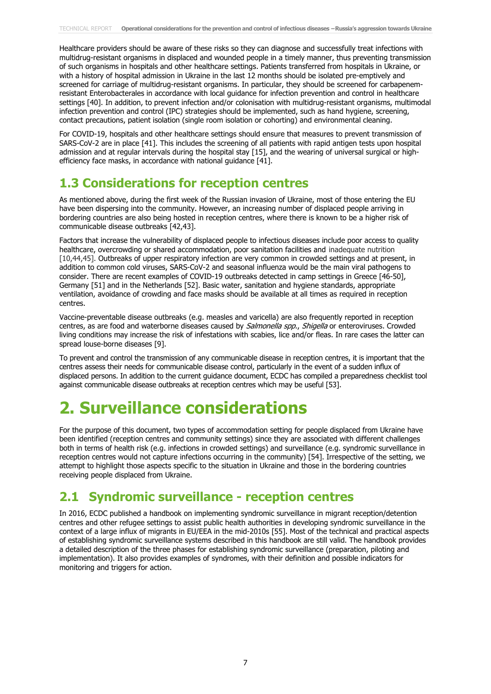Healthcare providers should be aware of these risks so they can diagnose and successfully treat infections with multidrug-resistant organisms in displaced and wounded people in a timely manner, thus preventing transmission of such organisms in hospitals and other healthcare settings. Patients transferred from hospitals in Ukraine, or with a history of hospital admission in Ukraine in the last 12 months should be isolated pre-emptively and screened for carriage of multidrug-resistant organisms. In particular, they should be screened for carbapenemresistant Enterobacterales in accordance with local guidance for infection prevention and control in healthcare settings [40]. In addition, to prevent infection and/or colonisation with multidrug-resistant organisms, multimodal infection prevention and control (IPC) strategies should be implemented, such as hand hygiene, screening, contact precautions, patient isolation (single room isolation or cohorting) and environmental cleaning.

For COVID-19, hospitals and other healthcare settings should ensure that measures to prevent transmission of SARS-CoV-2 are in place [41]. This includes the screening of all patients with rapid antigen tests upon hospital admission and at regular intervals during the hospital stay [15], and the wearing of universal surgical or highefficiency face masks, in accordance with national guidance [41].

### **1.3 Considerations for reception centres**

As mentioned above, during the first week of the Russian invasion of Ukraine, most of those entering the EU have been dispersing into the community. However, an increasing number of displaced people arriving in bordering countries are also being hosted in reception centres, where there is known to be a higher risk of communicable disease outbreaks [42,43].

Factors that increase the vulnerability of displaced people to infectious diseases include poor access to quality healthcare, overcrowding or shared accommodation, poor sanitation facilities and inadequate nutrition [10,44,45]. Outbreaks of upper respiratory infection are very common in crowded settings and at present, in addition to common cold viruses, SARS-CoV-2 and seasonal influenza would be the main viral pathogens to consider. There are recent examples of COVID-19 outbreaks detected in camp settings in Greece [46-50], Germany [51] and in the Netherlands [52]. Basic water, sanitation and hygiene standards, appropriate ventilation, avoidance of crowding and face masks should be available at all times as required in reception centres.

Vaccine-preventable disease outbreaks (e.g. measles and varicella) are also frequently reported in reception centres, as are food and waterborne diseases caused by *Salmonella spp., Shigella* or enteroviruses. Crowded living conditions may increase the risk of infestations with scabies, lice and/or fleas. In rare cases the latter can spread louse-borne diseases [9].

To prevent and control the transmission of any communicable disease in reception centres, it is important that the centres assess their needs for communicable disease control, particularly in the event of a sudden influx of displaced persons. In addition to the current guidance document, ECDC has compiled a preparedness checklist tool against communicable disease outbreaks at reception centres which may be useful [53].

# **2. Surveillance considerations**

For the purpose of this document, two types of accommodation setting for people displaced from Ukraine have been identified (reception centres and community settings) since they are associated with different challenges both in terms of health risk (e.g. infections in crowded settings) and surveillance (e.g. syndromic surveillance in reception centres would not capture infections occurring in the community) [54]. Irrespective of the setting, we attempt to highlight those aspects specific to the situation in Ukraine and those in the bordering countries receiving people displaced from Ukraine.

### **2.1 Syndromic surveillance - reception centres**

In 2016, ECDC published a handbook on implementing syndromic surveillance in migrant reception/detention centres and other refugee settings to assist public health authorities in developing syndromic surveillance in the context of a large influx of migrants in EU/EEA in the mid-2010s [55]. Most of the technical and practical aspects of establishing syndromic surveillance systems described in this handbook are still valid. The handbook provides a detailed description of the three phases for establishing syndromic surveillance (preparation, piloting and implementation). It also provides examples of syndromes, with their definition and possible indicators for monitoring and triggers for action.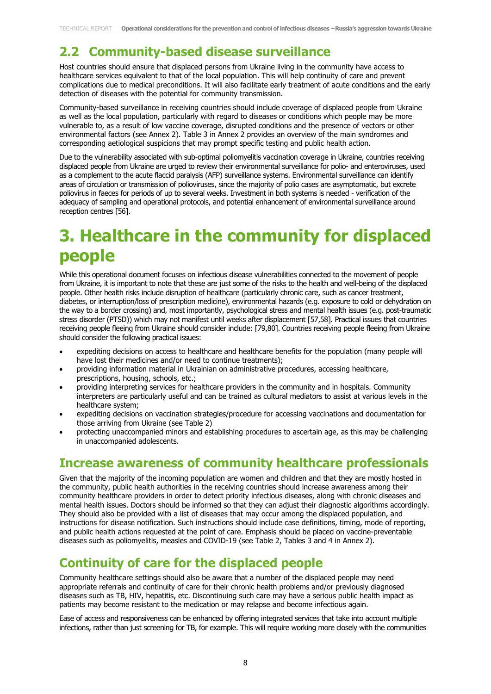### **2.2 Community-based disease surveillance**

Host countries should ensure that displaced persons from Ukraine living in the community have access to healthcare services equivalent to that of the local population. This will help continuity of care and prevent complications due to medical preconditions. It will also facilitate early treatment of acute conditions and the early detection of diseases with the potential for community transmission.

Community-based surveillance in receiving countries should include coverage of displaced people from Ukraine as well as the local population, particularly with regard to diseases or conditions which people may be more vulnerable to, as a result of low vaccine coverage, disrupted conditions and the presence of vectors or other environmental factors (see Annex 2). Table 3 in Annex 2 provides an overview of the main syndromes and corresponding aetiological suspicions that may prompt specific testing and public health action.

Due to the vulnerability associated with sub-optimal poliomyelitis vaccination coverage in Ukraine, countries receiving displaced people from Ukraine are urged to review their environmental surveillance for polio- and enteroviruses, used as a complement to the acute flaccid paralysis (AFP) surveillance systems. Environmental surveillance can identify areas of circulation or transmission of polioviruses, since the majority of polio cases are asymptomatic, but excrete poliovirus in faeces for periods of up to several weeks. Investment in both systems is needed - verification of the adequacy of sampling and operational protocols, and potential enhancement of environmental surveillance around reception centres [56].

### **3. Healthcare in the community for displaced people**

While this operational document focuses on infectious disease vulnerabilities connected to the movement of people from Ukraine, it is important to note that these are just some of the risks to the health and well-being of the displaced people. Other health risks include disruption of healthcare (particularly chronic care, such as cancer treatment, diabetes, or interruption/loss of prescription medicine), environmental hazards (e.g. exposure to cold or dehydration on the way to a border crossing) and, most importantly, psychological stress and mental health issues (e.g. post-traumatic stress disorder (PTSD)) which may not manifest until weeks after displacement [57,58]. Practical issues that countries receiving people fleeing from Ukraine should consider include: [79,80]. Countries receiving people fleeing from Ukraine should consider the following practical issues:

- expediting decisions on access to healthcare and healthcare benefits for the population (many people will have lost their medicines and/or need to continue treatments):
- providing information material in Ukrainian on administrative procedures, accessing healthcare, prescriptions, housing, schools, etc.;
- providing interpreting services for healthcare providers in the community and in hospitals. Community interpreters are particularly useful and can be trained as cultural mediators to assist at various levels in the healthcare system;
- expediting decisions on vaccination strategies/procedure for accessing vaccinations and documentation for those arriving from Ukraine (see Table 2)
- protecting unaccompanied minors and establishing procedures to ascertain age, as this may be challenging in unaccompanied adolescents.

### **Increase awareness of community healthcare professionals**

Given that the majority of the incoming population are women and children and that they are mostly hosted in the community, public health authorities in the receiving countries should increase awareness among their community healthcare providers in order to detect priority infectious diseases, along with chronic diseases and mental health issues. Doctors should be informed so that they can adjust their diagnostic algorithms accordingly. They should also be provided with a list of diseases that may occur among the displaced population, and instructions for disease notification. Such instructions should include case definitions, timing, mode of reporting, and public health actions requested at the point of care. Emphasis should be placed on vaccine-preventable diseases such as poliomyelitis, measles and COVID-19 (see Table 2, Tables 3 and 4 in Annex 2).

### **Continuity of care for the displaced people**

Community healthcare settings should also be aware that a number of the displaced people may need appropriate referrals and continuity of care for their chronic health problems and/or previously diagnosed diseases such as TB, HIV, hepatitis, etc. Discontinuing such care may have a serious public health impact as patients may become resistant to the medication or may relapse and become infectious again.

Ease of access and responsiveness can be enhanced by offering integrated services that take into account multiple infections, rather than just screening for TB, for example. This will require working more closely with the communities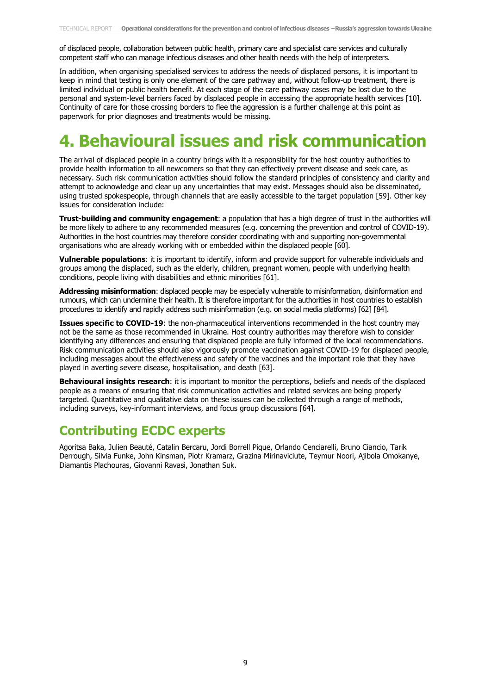of displaced people, collaboration between public health, primary care and specialist care services and culturally competent staff who can manage infectious diseases and other health needs with the help of interpreters.

In addition, when organising specialised services to address the needs of displaced persons, it is important to keep in mind that testing is only one element of the care pathway and, without follow-up treatment, there is limited individual or public health benefit. At each stage of the care pathway cases may be lost due to the personal and system-level barriers faced by displaced people in accessing the appropriate health services [10]. Continuity of care for those crossing borders to flee the aggression is a further challenge at this point as paperwork for prior diagnoses and treatments would be missing.

## **4. Behavioural issues and risk communication**

The arrival of displaced people in a country brings with it a responsibility for the host country authorities to provide health information to all newcomers so that they can effectively prevent disease and seek care, as necessary. Such risk communication activities should follow the standard principles of consistency and clarity and attempt to acknowledge and clear up any uncertainties that may exist. Messages should also be disseminated, using trusted spokespeople, through channels that are easily accessible to the target population [59]. Other key issues for consideration include:

**Trust-building and community engagement**: a population that has a high degree of trust in the authorities will be more likely to adhere to any recommended measures (e.g. concerning the prevention and control of COVID-19). Authorities in the host countries may therefore consider coordinating with and supporting non-governmental organisations who are already working with or embedded within the displaced people [60].

**Vulnerable populations**: it is important to identify, inform and provide support for vulnerable individuals and groups among the displaced, such as the elderly, children, pregnant women, people with underlying health conditions, people living with disabilities and ethnic minorities [61].

**Addressing misinformation**: displaced people may be especially vulnerable to misinformation, disinformation and rumours, which can undermine their health. It is therefore important for the authorities in host countries to establish procedures to identify and rapidly address such misinformation (e.g. on social media platforms) [62] [84].

**Issues specific to COVID-19**: the non-pharmaceutical interventions recommended in the host country may not be the same as those recommended in Ukraine. Host country authorities may therefore wish to consider identifying any differences and ensuring that displaced people are fully informed of the local recommendations. Risk communication activities should also vigorously promote vaccination against COVID-19 for displaced people, including messages about the effectiveness and safety of the vaccines and the important role that they have played in averting severe disease, hospitalisation, and death [63].

**Behavioural insights research**: it is important to monitor the perceptions, beliefs and needs of the displaced people as a means of ensuring that risk communication activities and related services are being properly targeted. Quantitative and qualitative data on these issues can be collected through a range of methods, including surveys, key-informant interviews, and focus group discussions [64].

### **Contributing ECDC experts**

Agoritsa Baka, Julien Beauté, Catalin Bercaru, Jordi Borrell Pique, Orlando Cenciarelli, Bruno Ciancio, Tarik Derrough, Silvia Funke, John Kinsman, Piotr Kramarz, Grazina Mirinaviciute, Teymur Noori, Ajibola Omokanye, Diamantis Plachouras, Giovanni Ravasi, Jonathan Suk.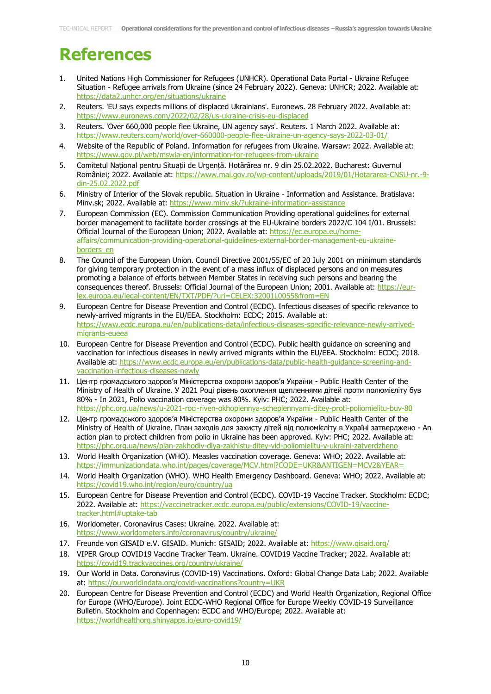# **References**

- 1. United Nations High Commissioner for Refugees (UNHCR). Operational Data Portal Ukraine Refugee Situation - Refugee arrivals from Ukraine (since 24 February 2022). Geneva: UNHCR; 2022. Available at: <https://data2.unhcr.org/en/situations/ukraine>
- 2. Reuters. 'EU says expects millions of displaced Ukrainians'. Euronews. 28 February 2022. Available at: <https://www.euronews.com/2022/02/28/us-ukraine-crisis-eu-displaced>
- 3. Reuters. 'Over 660,000 people flee Ukraine, UN agency says'. Reuters. 1 March 2022. Available at: <https://www.reuters.com/world/over-660000-people-flee-ukraine-un-agency-says-2022-03-01/>
- 4. Website of the Republic of Poland. Information for refugees from Ukraine. Warsaw: 2022. Available at: <https://www.gov.pl/web/mswia-en/information-for-refugees-from-ukraine>
- 5. Comitetul Național pentru Situații de Urgență. Hotărârea nr. 9 din 25.02.2022. Bucharest: Guvernul României; 2022. Available at: [https://www.mai.gov.ro/wp-content/uploads/2019/01/Hotararea-CNSU-nr.-9](https://www.mai.gov.ro/wp-content/uploads/2019/01/Hotararea-CNSU-nr.-9-din-25.02.2022.pdf) [din-25.02.2022.pdf](https://www.mai.gov.ro/wp-content/uploads/2019/01/Hotararea-CNSU-nr.-9-din-25.02.2022.pdf)
- 6. Ministry of Interior of the Slovak republic. Situation in Ukraine Information and Assistance. Bratislava: Minv.sk; 2022. Available at:<https://www.minv.sk/?ukraine-information-assistance>
- 7. European Commission (EC). Commission Communication Providing operational guidelines for external border management to facilitate border crossings at the EU-Ukraine borders 2022/C 104 I/01. Brussels: Official Journal of the European Union; 2022. Available at: [https://ec.europa.eu/home](https://ec.europa.eu/home-affairs/communication-providing-operational-guidelines-external-border-management-eu-ukraine-borders_en)[affairs/communication-providing-operational-guidelines-external-border-management-eu-ukraine](https://ec.europa.eu/home-affairs/communication-providing-operational-guidelines-external-border-management-eu-ukraine-borders_en)[borders\\_en](https://ec.europa.eu/home-affairs/communication-providing-operational-guidelines-external-border-management-eu-ukraine-borders_en)
- 8. The Council of the European Union. Council Directive 2001/55/EC of 20 July 2001 on minimum standards for giving temporary protection in the event of a mass influx of displaced persons and on measures promoting a balance of efforts between Member States in receiving such persons and bearing the consequences thereof. Brussels: Official Journal of the European Union; 2001. Available at: [https://eur](https://eur-lex.europa.eu/legal-content/EN/TXT/PDF/?uri=CELEX:32001L0055&from=EN)[lex.europa.eu/legal-content/EN/TXT/PDF/?uri=CELEX:32001L0055&from=EN](https://eur-lex.europa.eu/legal-content/EN/TXT/PDF/?uri=CELEX:32001L0055&from=EN)
- 9. European Centre for Disease Prevention and Control (ECDC). Infectious diseases of specific relevance to newly-arrived migrants in the EU/EEA. Stockholm: ECDC; 2015. Available at: [https://www.ecdc.europa.eu/en/publications-data/infectious-diseases-specific-relevance-newly-arrived](https://www.ecdc.europa.eu/en/publications-data/infectious-diseases-specific-relevance-newly-arrived-migrants-eueea)[migrants-eueea](https://www.ecdc.europa.eu/en/publications-data/infectious-diseases-specific-relevance-newly-arrived-migrants-eueea)
- 10. European Centre for Disease Prevention and Control (ECDC). Public health guidance on screening and vaccination for infectious diseases in newly arrived migrants within the EU/EEA. Stockholm: ECDC; 2018. Available at: https://www.ecdc.europa.eu/en/publications-data/public-health-quidance-screening-and[vaccination-infectious-diseases-newly](https://www.ecdc.europa.eu/en/publications-data/public-health-guidance-screening-and-vaccination-infectious-diseases-newly)
- 11. Центр громадського здоров'я Міністерства охорони здоров'я України Public Health Center of the Ministry of Health of Ukraine. У 2021 Році рівень охоплення щепленнями дітей проти полюмієліту був 80% - In 2021, Polio vaccination coverage was 80%. Kyiv: PHC; 2022. Available at: <https://phc.org.ua/news/u-2021-roci-riven-okhoplennya-scheplennyami-ditey-proti-poliomielitu-buv-80>
- 12. Центр громадського здоров'я Міністерства охорони здоров'я України Public Health Center of the Ministry of Health of Ukraine. План заходів для захисту дітей від полюмієліту в Україні затверджено - An action plan to protect children from polio in Ukraine has been approved. Kyiv: PHC; 2022. Available at: <https://phc.org.ua/news/plan-zakhodiv-dlya-zakhistu-ditey-vid-poliomielitu-v-ukraini-zatverdzheno>
- 13. World Health Organization (WHO). Measles vaccination coverage. Geneva: WHO; 2022. Available at: <https://immunizationdata.who.int/pages/coverage/MCV.html?CODE=UKR&ANTIGEN=MCV2&YEAR=>
- 14. World Health Organization (WHO). WHO Health Emergency Dashboard. Geneva: WHO; 2022. Available at: <https://covid19.who.int/region/euro/country/ua>
- 15. European Centre for Disease Prevention and Control (ECDC). COVID-19 Vaccine Tracker. Stockholm: ECDC; 2022. Available at: [https://vaccinetracker.ecdc.europa.eu/public/extensions/COVID-19/vaccine](https://vaccinetracker.ecdc.europa.eu/public/extensions/COVID-19/vaccine-tracker.html#uptake-tab)[tracker.html#uptake-tab](https://vaccinetracker.ecdc.europa.eu/public/extensions/COVID-19/vaccine-tracker.html#uptake-tab)
- 16. Worldometer. Coronavirus Cases: Ukraine. 2022. Available at: <https://www.worldometers.info/coronavirus/country/ukraine/>
- 17. Freunde von GISAID e.V. GISAID. Munich: GISAID; 2022. Available at:<https://www.gisaid.org/>
- 18. VIPER Group COVID19 Vaccine Tracker Team. Ukraine. COVID19 Vaccine Tracker; 2022. Available at: <https://covid19.trackvaccines.org/country/ukraine/>
- 19. Our World in Data. Coronavirus (COVID-19) Vaccinations. Oxford: Global Change Data Lab; 2022. Available at:<https://ourworldindata.org/covid-vaccinations?country=UKR>
- 20. European Centre for Disease Prevention and Control (ECDC) and World Health Organization, Regional Office for Europe (WHO/Europe). Joint ECDC-WHO Regional Office for Europe Weekly COVID-19 Surveillance Bulletin. Stockholm and Copenhagen: ECDC and WHO/Europe; 2022. Available at: <https://worldhealthorg.shinyapps.io/euro-covid19/>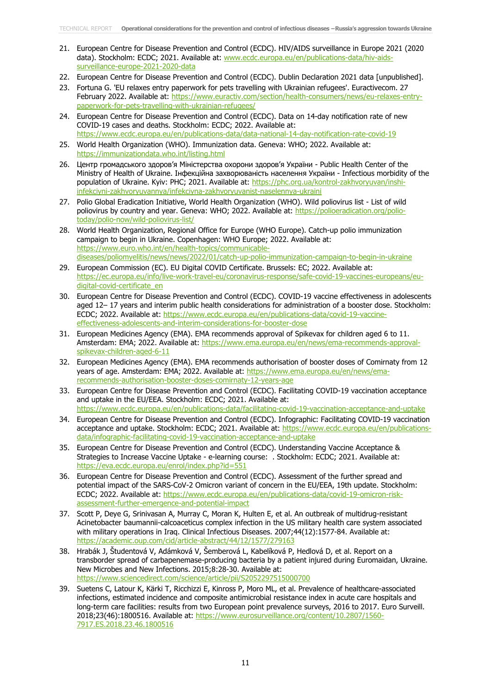- 21. European Centre for Disease Prevention and Control (ECDC). HIV/AIDS surveillance in Europe 2021 (2020 data). Stockholm: ECDC; 2021. Available at: [www.ecdc.europa.eu/en/publications-data/hiv-aids](http://www.ecdc.europa.eu/en/publications-data/hiv-aids-surveillance-europe-2021-2020-data)[surveillance-europe-2021-2020-data](http://www.ecdc.europa.eu/en/publications-data/hiv-aids-surveillance-europe-2021-2020-data)
- 22. European Centre for Disease Prevention and Control (ECDC). Dublin Declaration 2021 data [unpublished].
- 23. Fortuna G. 'EU relaxes entry paperwork for pets travelling with Ukrainian refugees'. Euractivecom. 27 February 2022. Available at: [https://www.euractiv.com/section/health-consumers/news/eu-relaxes-entry](https://www.euractiv.com/section/health-consumers/news/eu-relaxes-entry-paperwork-for-pets-travelling-with-ukrainian-refugees/)[paperwork-for-pets-travelling-with-ukrainian-refugees/](https://www.euractiv.com/section/health-consumers/news/eu-relaxes-entry-paperwork-for-pets-travelling-with-ukrainian-refugees/)
- 24. European Centre for Disease Prevention and Control (ECDC). Data on 14-day notification rate of new COVID-19 cases and deaths. Stockholm: ECDC; 2022. Available at: <https://www.ecdc.europa.eu/en/publications-data/data-national-14-day-notification-rate-covid-19>
- 25. World Health Organization (WHO). Immunization data. Geneva: WHO; 2022. Available at: <https://immunizationdata.who.int/listing.html>
- 26. Центр громадського здоров'я Міністерства охорони здоров'я України Public Health Center of the Ministry of Health of Ukraine. Інфекційна захворюваність населення України - Infectious morbidity of the population of Ukraine. Kyiv: PHC; 2021. Available at: [https://phc.org.ua/kontrol-zakhvoryuvan/inshi](https://phc.org.ua/kontrol-zakhvoryuvan/inshi-infekciyni-zakhvoryuvannya/infekciyna-zakhvoryuvanist-naselennya-ukraini)[infekciyni-zakhvoryuvannya/infekciyna-zakhvoryuvanist-naselennya-ukraini](https://phc.org.ua/kontrol-zakhvoryuvan/inshi-infekciyni-zakhvoryuvannya/infekciyna-zakhvoryuvanist-naselennya-ukraini)
- 27. Polio Global Eradication Initiative, World Health Organization (WHO). Wild poliovirus list List of wild poliovirus by country and year. Geneva: WHO; 2022. Available at: [https://polioeradication.org/polio](https://polioeradication.org/polio-today/polio-now/wild-poliovirus-list/)[today/polio-now/wild-poliovirus-list/](https://polioeradication.org/polio-today/polio-now/wild-poliovirus-list/)
- 28. World Health Organization, Regional Office for Europe (WHO Europe). Catch-up polio immunization campaign to begin in Ukraine. Copenhagen: WHO Europe; 2022. Available at: [https://www.euro.who.int/en/health-topics/communicable](https://www.euro.who.int/en/health-topics/communicable-diseases/poliomyelitis/news/news/2022/01/catch-up-polio-immunization-campaign-to-begin-in-ukraine)[diseases/poliomyelitis/news/news/2022/01/catch-up-polio-immunization-campaign-to-begin-in-ukraine](https://www.euro.who.int/en/health-topics/communicable-diseases/poliomyelitis/news/news/2022/01/catch-up-polio-immunization-campaign-to-begin-in-ukraine)
- 29. European Commission (EC). EU Digital COVID Certificate. Brussels: EC; 2022. Available at: [https://ec.europa.eu/info/live-work-travel-eu/coronavirus-response/safe-covid-19-vaccines-europeans/eu](https://ec.europa.eu/info/live-work-travel-eu/coronavirus-response/safe-covid-19-vaccines-europeans/eu-digital-covid-certificate_en)[digital-covid-certificate\\_en](https://ec.europa.eu/info/live-work-travel-eu/coronavirus-response/safe-covid-19-vaccines-europeans/eu-digital-covid-certificate_en)
- 30. European Centre for Disease Prevention and Control (ECDC). COVID-19 vaccine effectiveness in adolescents aged 12– 17 years and interim public health considerations for administration of a booster dose. Stockholm: ECDC; 2022. Available at: [https://www.ecdc.europa.eu/en/publications-data/covid-19-vaccine](https://www.ecdc.europa.eu/en/publications-data/covid-19-vaccine-effectiveness-adolescents-and-interim-considerations-for-booster-dose)[effectiveness-adolescents-and-interim-considerations-for-booster-dose](https://www.ecdc.europa.eu/en/publications-data/covid-19-vaccine-effectiveness-adolescents-and-interim-considerations-for-booster-dose)
- 31. European Medicines Agency (EMA). EMA recommends approval of Spikevax for children aged 6 to 11. Amsterdam: EMA; 2022. Available at: [https://www.ema.europa.eu/en/news/ema-recommends-approval](https://www.ema.europa.eu/en/news/ema-recommends-approval-spikevax-children-aged-6-11)[spikevax-children-aged-6-11](https://www.ema.europa.eu/en/news/ema-recommends-approval-spikevax-children-aged-6-11)
- 32. European Medicines Agency (EMA). EMA recommends authorisation of booster doses of Comirnaty from 12 years of age. Amsterdam: EMA; 2022. Available at: [https://www.ema.europa.eu/en/news/ema](https://www.ema.europa.eu/en/news/ema-recommends-authorisation-booster-doses-comirnaty-12-years-age)[recommends-authorisation-booster-doses-comirnaty-12-years-age](https://www.ema.europa.eu/en/news/ema-recommends-authorisation-booster-doses-comirnaty-12-years-age)
- 33. European Centre for Disease Prevention and Control (ECDC). Facilitating COVID-19 vaccination acceptance and uptake in the EU/EEA. Stockholm: ECDC; 2021. Available at: <https://www.ecdc.europa.eu/en/publications-data/facilitating-covid-19-vaccination-acceptance-and-uptake>
- 34. European Centre for Disease Prevention and Control (ECDC). Infographic: Facilitating COVID-19 vaccination acceptance and uptake. Stockholm: ECDC; 2021. Available at: [https://www.ecdc.europa.eu/en/publications](https://www.ecdc.europa.eu/en/publications-data/infographic-facilitating-covid-19-vaccination-acceptance-and-uptake)[data/infographic-facilitating-covid-19-vaccination-acceptance-and-uptake](https://www.ecdc.europa.eu/en/publications-data/infographic-facilitating-covid-19-vaccination-acceptance-and-uptake)
- 35. European Centre for Disease Prevention and Control (ECDC). Understanding Vaccine Acceptance & Strategies to Increase Vaccine Uptake - e-learning course: . Stockholm: ECDC; 2021. Available at: <https://eva.ecdc.europa.eu/enrol/index.php?id=551>
- 36. European Centre for Disease Prevention and Control (ECDC). Assessment of the further spread and potential impact of the SARS-CoV-2 Omicron variant of concern in the EU/EEA, 19th update. Stockholm: ECDC; 2022. Available at: [https://www.ecdc.europa.eu/en/publications-data/covid-19-omicron-risk](https://www.ecdc.europa.eu/en/publications-data/covid-19-omicron-risk-assessment-further-emergence-and-potential-impact)[assessment-further-emergence-and-potential-impact](https://www.ecdc.europa.eu/en/publications-data/covid-19-omicron-risk-assessment-further-emergence-and-potential-impact)
- 37. Scott P, Deye G, Srinivasan A, Murray C, Moran K, Hulten E, et al. An outbreak of multidrug-resistant Acinetobacter baumannii-calcoaceticus complex infection in the US military health care system associated with military operations in Iraq. Clinical Infectious Diseases. 2007;44(12):1577-84. Available at: <https://academic.oup.com/cid/article-abstract/44/12/1577/279163>
- 38. Hrabák J, Študentová V, Adámková V, Šemberová L, Kabelíková P, Hedlová D, et al. Report on a transborder spread of carbapenemase-producing bacteria by a patient injured during Euromaidan, Ukraine. New Microbes and New Infections. 2015;8:28-30. Available at: <https://www.sciencedirect.com/science/article/pii/S2052297515000700>
- 39. Suetens C, Latour K, Kärki T, Ricchizzi E, Kinross P, Moro ML, et al. Prevalence of healthcare-associated infections, estimated incidence and composite antimicrobial resistance index in acute care hospitals and long-term care facilities: results from two European point prevalence surveys, 2016 to 2017. Euro Surveill. 2018;23(46):1800516. Available at: [https://www.eurosurveillance.org/content/10.2807/1560-](https://www.eurosurveillance.org/content/10.2807/1560-7917.ES.2018.23.46.1800516) [7917.ES.2018.23.46.1800516](https://www.eurosurveillance.org/content/10.2807/1560-7917.ES.2018.23.46.1800516)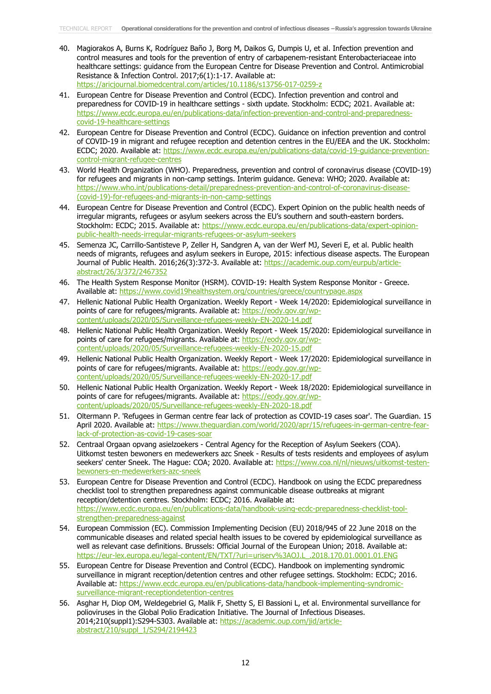- 40. Magiorakos A, Burns K, Rodríguez Baño J, Borg M, Daikos G, Dumpis U, et al. Infection prevention and control measures and tools for the prevention of entry of carbapenem-resistant Enterobacteriaceae into healthcare settings: guidance from the European Centre for Disease Prevention and Control. Antimicrobial Resistance & Infection Control. 2017;6(1):1-17. Available at: <https://aricjournal.biomedcentral.com/articles/10.1186/s13756-017-0259-z>
- 41. European Centre for Disease Prevention and Control (ECDC). Infection prevention and control and preparedness for COVID-19 in healthcare settings - sixth update. Stockholm: ECDC; 2021. Available at: [https://www.ecdc.europa.eu/en/publications-data/infection-prevention-and-control-and-preparedness](https://www.ecdc.europa.eu/en/publications-data/infection-prevention-and-control-and-preparedness-covid-19-healthcare-settings)[covid-19-healthcare-settings](https://www.ecdc.europa.eu/en/publications-data/infection-prevention-and-control-and-preparedness-covid-19-healthcare-settings)
- 42. European Centre for Disease Prevention and Control (ECDC). Guidance on infection prevention and control of COVID-19 in migrant and refugee reception and detention centres in the EU/EEA and the UK. Stockholm: ECDC; 2020. Available at: [https://www.ecdc.europa.eu/en/publications-data/covid-19-guidance-prevention](https://www.ecdc.europa.eu/en/publications-data/covid-19-guidance-prevention-control-migrant-refugee-centres)[control-migrant-refugee-centres](https://www.ecdc.europa.eu/en/publications-data/covid-19-guidance-prevention-control-migrant-refugee-centres)
- 43. World Health Organization (WHO). Preparedness, prevention and control of coronavirus disease (COVID-19) for refugees and migrants in non-camp settings. Interim guidance. Geneva: WHO; 2020. Available at: [https://www.who.int/publications-detail/preparedness-prevention-and-control-of-coronavirus-disease-](https://www.who.int/publications-detail/preparedness-prevention-and-control-of-coronavirus-disease-(covid-19)-for-refugees-and-migrants-in-non-camp-settings) [\(covid-19\)-for-refugees-and-migrants-in-non-camp-settings](https://www.who.int/publications-detail/preparedness-prevention-and-control-of-coronavirus-disease-(covid-19)-for-refugees-and-migrants-in-non-camp-settings)
- 44. European Centre for Disease Prevention and Control (ECDC). Expert Opinion on the public health needs of irregular migrants, refugees or asylum seekers across the EU's southern and south-eastern borders. Stockholm: ECDC; 2015. Available at: [https://www.ecdc.europa.eu/en/publications-data/expert-opinion](https://www.ecdc.europa.eu/en/publications-data/expert-opinion-public-health-needs-irregular-migrants-refugees-or-asylum-seekers)[public-health-needs-irregular-migrants-refugees-or-asylum-seekers](https://www.ecdc.europa.eu/en/publications-data/expert-opinion-public-health-needs-irregular-migrants-refugees-or-asylum-seekers)
- 45. Semenza JC, Carrillo-Santisteve P, Zeller H, Sandgren A, van der Werf MJ, Severi E, et al. Public health needs of migrants, refugees and asylum seekers in Europe, 2015: infectious disease aspects. The European Journal of Public Health. 2016;26(3):372-3. Available at: [https://academic.oup.com/eurpub/article](https://academic.oup.com/eurpub/article-abstract/26/3/372/2467352)[abstract/26/3/372/2467352](https://academic.oup.com/eurpub/article-abstract/26/3/372/2467352)
- 46. The Health System Response Monitor (HSRM). COVID-19: Health System Response Monitor Greece. Available at:<https://www.covid19healthsystem.org/countries/greece/countrypage.aspx>
- 47. Hellenic National Public Health Organization. Weekly Report Week 14/2020: Epidemiological surveillance in points of care for refugees/migrants. Available at: [https://eody.gov.gr/wp](https://eody.gov.gr/wp-content/uploads/2020/05/Surveillance-refugees-weekly-EN-2020-14.pdf)[content/uploads/2020/05/Surveillance-refugees-weekly-EN-2020-14.pdf](https://eody.gov.gr/wp-content/uploads/2020/05/Surveillance-refugees-weekly-EN-2020-14.pdf)
- 48. Hellenic National Public Health Organization. Weekly Report Week 15/2020: Epidemiological surveillance in points of care for refugees/migrants. Available at: [https://eody.gov.gr/wp](https://eody.gov.gr/wp-content/uploads/2020/05/Surveillance-refugees-weekly-EN-2020-15.pdf)[content/uploads/2020/05/Surveillance-refugees-weekly-EN-2020-15.pdf](https://eody.gov.gr/wp-content/uploads/2020/05/Surveillance-refugees-weekly-EN-2020-15.pdf)
- 49. Hellenic National Public Health Organization. Weekly Report Week 17/2020: Epidemiological surveillance in points of care for refugees/migrants. Available at: [https://eody.gov.gr/wp](https://eody.gov.gr/wp-content/uploads/2020/05/Surveillance-refugees-weekly-EN-2020-17.pdf)[content/uploads/2020/05/Surveillance-refugees-weekly-EN-2020-17.pdf](https://eody.gov.gr/wp-content/uploads/2020/05/Surveillance-refugees-weekly-EN-2020-17.pdf)
- 50. Hellenic National Public Health Organization. Weekly Report Week 18/2020: Epidemiological surveillance in points of care for refugees/migrants. Available at: [https://eody.gov.gr/wp](https://eody.gov.gr/wp-content/uploads/2020/05/Surveillance-refugees-weekly-EN-2020-18.pdf)[content/uploads/2020/05/Surveillance-refugees-weekly-EN-2020-18.pdf](https://eody.gov.gr/wp-content/uploads/2020/05/Surveillance-refugees-weekly-EN-2020-18.pdf)
- 51. Oltermann P. 'Refugees in German centre fear lack of protection as COVID-19 cases soar'. The Guardian. 15 April 2020. Available at: [https://www.theguardian.com/world/2020/apr/15/refugees-in-german-centre-fear](https://www.theguardian.com/world/2020/apr/15/refugees-in-german-centre-fear-lack-of-protection-as-covid-19-cases-soar)[lack-of-protection-as-covid-19-cases-soar](https://www.theguardian.com/world/2020/apr/15/refugees-in-german-centre-fear-lack-of-protection-as-covid-19-cases-soar)
- 52. Centraal Orgaan opvang asielzoekers Central Agency for the Reception of Asylum Seekers (COA). Uitkomst testen bewoners en medewerkers azc Sneek - Results of tests residents and employees of asylum seekers' center Sneek. The Hague: COA; 2020. Available at: [https://www.coa.nl/nl/nieuws/uitkomst-testen](https://www.coa.nl/nl/nieuws/uitkomst-testen-bewoners-en-medewerkers-azc-sneek)[bewoners-en-medewerkers-azc-sneek](https://www.coa.nl/nl/nieuws/uitkomst-testen-bewoners-en-medewerkers-azc-sneek)
- 53. European Centre for Disease Prevention and Control (ECDC). Handbook on using the ECDC preparedness checklist tool to strengthen preparedness against communicable disease outbreaks at migrant reception/detention centres. Stockholm: ECDC; 2016. Available at: [https://www.ecdc.europa.eu/en/publications-data/handbook-using-ecdc-preparedness-checklist-tool](https://www.ecdc.europa.eu/en/publications-data/handbook-using-ecdc-preparedness-checklist-tool-strengthen-preparedness-against)[strengthen-preparedness-against](https://www.ecdc.europa.eu/en/publications-data/handbook-using-ecdc-preparedness-checklist-tool-strengthen-preparedness-against)
- 54. European Commission (EC). Commission Implementing Decision (EU) 2018/945 of 22 June 2018 on the communicable diseases and related special health issues to be covered by epidemiological surveillance as well as relevant case definitions. Brussels: Official Journal of the European Union; 2018. Available at:<br>https://eur-lex.europa.eu/legal-content/EN/TXT/?uri=uriserv%3AOJ.L\_.2018.170.01.0001.01.ENG https://eur-lex.europa.eu/legal-content/EN/TXT/?uri=uriserv%3AOJ.L
- 55. European Centre for Disease Prevention and Control (ECDC). Handbook on implementing syndromic surveillance in migrant reception/detention centres and other refugee settings. Stockholm: ECDC; 2016. Available at: [https://www.ecdc.europa.eu/en/publications-data/handbook-implementing-syndromic](https://www.ecdc.europa.eu/en/publications-data/handbook-implementing-syndromic-surveillance-migrant-receptiondetention-centres)[surveillance-migrant-receptiondetention-centres](https://www.ecdc.europa.eu/en/publications-data/handbook-implementing-syndromic-surveillance-migrant-receptiondetention-centres)
- 56. Asghar H, Diop OM, Weldegebriel G, Malik F, Shetty S, El Bassioni L, et al. Environmental surveillance for polioviruses in the Global Polio Eradication Initiative. The Journal of Infectious Diseases. 2014;210(suppl1):S294-S303. Available at: [https://academic.oup.com/jid/article](https://academic.oup.com/jid/article-abstract/210/suppl_1/S294/2194423)[abstract/210/suppl\\_1/S294/2194423](https://academic.oup.com/jid/article-abstract/210/suppl_1/S294/2194423)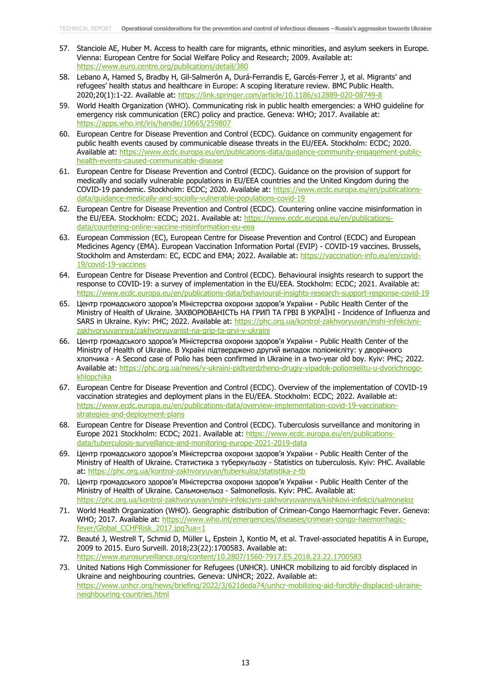- 57. Stanciole AE, Huber M. Access to health care for migrants, ethnic minorities, and asylum seekers in Europe. Vienna: European Centre for Social Welfare Policy and Research; 2009. Available at: <https://www.euro.centre.org/publications/detail/380>
- 58. Lebano A, Hamed S, Bradby H, Gil-Salmerón A, Durá-Ferrandis E, Garcés-Ferrer J, et al. Migrants' and refugees' health status and healthcare in Europe: A scoping literature review. BMC Public Health. 2020;20(1):1-22. Available at:<https://link.springer.com/article/10.1186/s12889-020-08749-8>
- 59. World Health Organization (WHO). Communicating risk in public health emergencies: a WHO guideline for emergency risk communication (ERC) policy and practice. Geneva: WHO; 2017. Available at: <https://apps.who.int/iris/handle/10665/259807>
- 60. European Centre for Disease Prevention and Control (ECDC). Guidance on community engagement for public health events caused by communicable disease threats in the EU/EEA. Stockholm: ECDC; 2020. Available at: [https://www.ecdc.europa.eu/en/publications-data/guidance-community-engagement-public](https://www.ecdc.europa.eu/en/publications-data/guidance-community-engagement-public-health-events-caused-communicable-disease)[health-events-caused-communicable-disease](https://www.ecdc.europa.eu/en/publications-data/guidance-community-engagement-public-health-events-caused-communicable-disease)
- 61. European Centre for Disease Prevention and Control (ECDC). Guidance on the provision of support for medically and socially vulnerable populations in EU/EEA countries and the United Kingdom during the COVID-19 pandemic. Stockholm: ECDC; 2020. Available at: [https://www.ecdc.europa.eu/en/publications](https://www.ecdc.europa.eu/en/publications-data/guidance-medically-and-socially-vulnerable-populations-covid-19)[data/guidance-medically-and-socially-vulnerable-populations-covid-19](https://www.ecdc.europa.eu/en/publications-data/guidance-medically-and-socially-vulnerable-populations-covid-19)
- 62. European Centre for Disease Prevention and Control (ECDC). Countering online vaccine misinformation in the EU/EEA. Stockholm: ECDC; 2021. Available at: [https://www.ecdc.europa.eu/en/publications](https://www.ecdc.europa.eu/en/publications-data/countering-online-vaccine-misinformation-eu-eea)[data/countering-online-vaccine-misinformation-eu-eea](https://www.ecdc.europa.eu/en/publications-data/countering-online-vaccine-misinformation-eu-eea)
- 63. European Commission (EC), European Centre for Disease Prevention and Control (ECDC) and European Medicines Agency (EMA). European Vaccination Information Portal (EVIP) - COVID-19 vaccines. Brussels, Stockholm and Amsterdam: EC, ECDC and EMA; 2022. Available at: [https://vaccination-info.eu/en/covid-](https://vaccination-info.eu/en/covid-19/covid-19-vaccines)[19/covid-19-vaccines](https://vaccination-info.eu/en/covid-19/covid-19-vaccines)
- 64. European Centre for Disease Prevention and Control (ECDC). Behavioural insights research to support the response to COVID-19: a survey of implementation in the EU/EEA. Stockholm: ECDC; 2021. Available at: <https://www.ecdc.europa.eu/en/publications-data/behavioural-insights-research-support-response-covid-19>
- 65. Центр громадського здоров'я Міністерства охорони здоров'я України Public Health Center of the Ministry of Health of Ukraine. ЗАХВОРЮВАНІСТЬ НА ГРИП ТА ГРВІ В УКРАЇНІ - Incidence of Influenza and SARS in Ukraine. Kyiv: PHC; 2022. Available at: [https://phc.org.ua/kontrol-zakhvoryuvan/inshi-infekciyni](https://phc.org.ua/kontrol-zakhvoryuvan/inshi-infekciyni-zakhvoryuvannya/zakhvoryuvanist-na-grip-ta-grvi-v-ukraini)[zakhvoryuvannya/zakhvoryuvanist-na-grip-ta-grvi-v-ukraini](https://phc.org.ua/kontrol-zakhvoryuvan/inshi-infekciyni-zakhvoryuvannya/zakhvoryuvanist-na-grip-ta-grvi-v-ukraini)
- 66. Центр громадського здоров'я Міністерства охорони здоров'я України Public Health Center of the Ministry of Health of Ukraine. В Україні підтверджено другий випадок поліомієліту: у дворічного хлопчика - A Second case of Polio has been confirmed in Ukraine in a two-year old boy. Kyiv: PHC; 2022. Available at: [https://phc.org.ua/news/v-ukraini-pidtverdzheno-drugiy-vipadok-poliomielitu-u-dvorichnogo](https://phc.org.ua/news/v-ukraini-pidtverdzheno-drugiy-vipadok-poliomielitu-u-dvorichnogo-khlopchika)[khlopchika](https://phc.org.ua/news/v-ukraini-pidtverdzheno-drugiy-vipadok-poliomielitu-u-dvorichnogo-khlopchika)
- 67. European Centre for Disease Prevention and Control (ECDC). Overview of the implementation of COVID-19 vaccination strategies and deployment plans in the EU/EEA. Stockholm: ECDC; 2022. Available at: [https://www.ecdc.europa.eu/en/publications-data/overview-implementation-covid-19-vaccination](https://www.ecdc.europa.eu/en/publications-data/overview-implementation-covid-19-vaccination-strategies-and-deployment-plans)[strategies-and-deployment-plans](https://www.ecdc.europa.eu/en/publications-data/overview-implementation-covid-19-vaccination-strategies-and-deployment-plans)
- 68. European Centre for Disease Prevention and Control (ECDC). Tuberculosis surveillance and monitoring in Europe 2021 Stockholm: ECDC; 2021. Available at: [https://www.ecdc.europa.eu/en/publications](https://www.ecdc.europa.eu/en/publications-data/tuberculosis-surveillance-and-monitoring-europe-2021-2019-data)[data/tuberculosis-surveillance-and-monitoring-europe-2021-2019-data](https://www.ecdc.europa.eu/en/publications-data/tuberculosis-surveillance-and-monitoring-europe-2021-2019-data)
- 69. Центр громадського здоров'я Міністерства охорони здоров'я України Public Health Center of the Ministry of Health of Ukraine. Статистика з туберкульозу - Statistics on tuberculosis. Kyiv: PHC. Available at:<https://phc.org.ua/kontrol-zakhvoryuvan/tuberkuloz/statistika-z-tb>
- 70. Центр громадського здоров'я Міністерства охорони здоров'я України Public Health Center of the Ministry of Health of Ukraine. Сальмонельоз - Salmonellosis. Kyiv: PHC. Available at: <https://phc.org.ua/kontrol-zakhvoryuvan/inshi-infekciyni-zakhvoryuvannya/kishkovi-infekcii/salmoneloz>
- 71. World Health Organization (WHO). Geographic distribution of Crimean-Congo Haemorrhagic Fever. Geneva: WHO; 2017. Available at: [https://www.who.int/emergencies/diseases/crimean-congo-haemorrhagic](https://www.who.int/emergencies/diseases/crimean-congo-haemorrhagic-fever/Global_CCHFRisk_2017.jpg?ua=1)[fever/Global\\_CCHFRisk\\_2017.jpg?ua=1](https://www.who.int/emergencies/diseases/crimean-congo-haemorrhagic-fever/Global_CCHFRisk_2017.jpg?ua=1)
- 72. Beauté J, Westrell T, Schmid D, Müller L, Epstein J, Kontio M, et al. Travel-associated hepatitis A in Europe, 2009 to 2015. Euro Surveill. 2018;23(22):1700583. Available at: <https://www.eurosurveillance.org/content/10.2807/1560-7917.ES.2018.23.22.1700583>
- 73. United Nations High Commissioner for Refugees (UNHCR). UNHCR mobilizing to aid forcibly displaced in Ukraine and neighbouring countries. Geneva: UNHCR; 2022. Available at: [https://www.unhcr.org/news/briefing/2022/3/621deda74/unhcr-mobilizing-aid-forcibly-displaced-ukraine](https://www.unhcr.org/news/briefing/2022/3/621deda74/unhcr-mobilizing-aid-forcibly-displaced-ukraine-neighbouring-countries.html)[neighbouring-countries.html](https://www.unhcr.org/news/briefing/2022/3/621deda74/unhcr-mobilizing-aid-forcibly-displaced-ukraine-neighbouring-countries.html)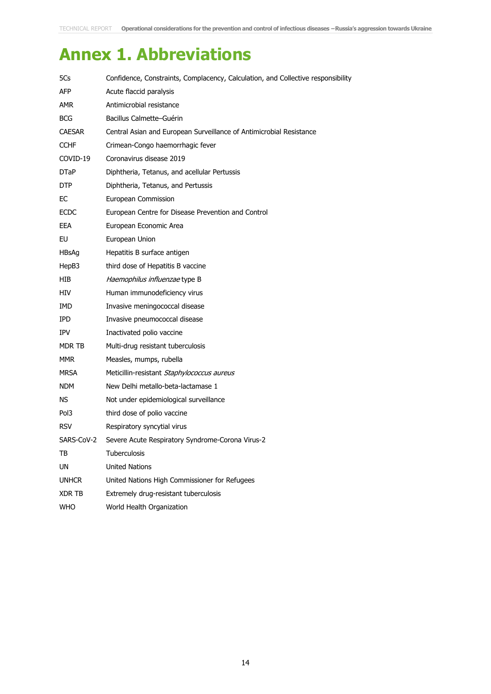# **Annex 1. Abbreviations**

| 5Cs              | Confidence, Constraints, Complacency, Calculation, and Collective responsibility |
|------------------|----------------------------------------------------------------------------------|
| AFP.             | Acute flaccid paralysis                                                          |
| AMR.             | Antimicrobial resistance                                                         |
| <b>BCG</b>       | Bacillus Calmette-Guérin                                                         |
| <b>CAESAR</b>    | Central Asian and European Surveillance of Antimicrobial Resistance              |
| <b>CCHF</b>      | Crimean-Congo haemorrhagic fever                                                 |
| COVID-19         | Coronavirus disease 2019                                                         |
| <b>DTaP</b>      | Diphtheria, Tetanus, and acellular Pertussis                                     |
| DTP              | Diphtheria, Tetanus, and Pertussis                                               |
| ЕC               | European Commission                                                              |
| <b>ECDC</b>      | European Centre for Disease Prevention and Control                               |
| EEA              | European Economic Area                                                           |
| EU               | European Union                                                                   |
| <b>HBsAg</b>     | Hepatitis B surface antigen                                                      |
| HepB3            | third dose of Hepatitis B vaccine                                                |
| <b>HIB</b>       | Haemophilus influenzae type B                                                    |
| HIV              | Human immunodeficiency virus                                                     |
| IMD.             | Invasive meningococcal disease                                                   |
| IPD.             | Invasive pneumococcal disease                                                    |
| <b>IPV</b>       | Inactivated polio vaccine                                                        |
| MDR TB           | Multi-drug resistant tuberculosis                                                |
| <b>MMR</b>       | Measles, mumps, rubella                                                          |
| MRSA             | Meticillin-resistant Staphylococcus aureus                                       |
| <b>NDM</b>       | New Delhi metallo-beta-lactamase 1                                               |
| NS.              | Not under epidemiological surveillance                                           |
| Pol <sub>3</sub> | third dose of polio vaccine                                                      |
| <b>RSV</b>       | Respiratory syncytial virus                                                      |
| SARS-CoV-2       | Severe Acute Respiratory Syndrome-Corona Virus-2                                 |
| TB               | Tuberculosis                                                                     |
| UN               | <b>United Nations</b>                                                            |
| <b>UNHCR</b>     | United Nations High Commissioner for Refugees                                    |
| XDR TB           | Extremely drug-resistant tuberculosis                                            |
| <b>WHO</b>       | World Health Organization                                                        |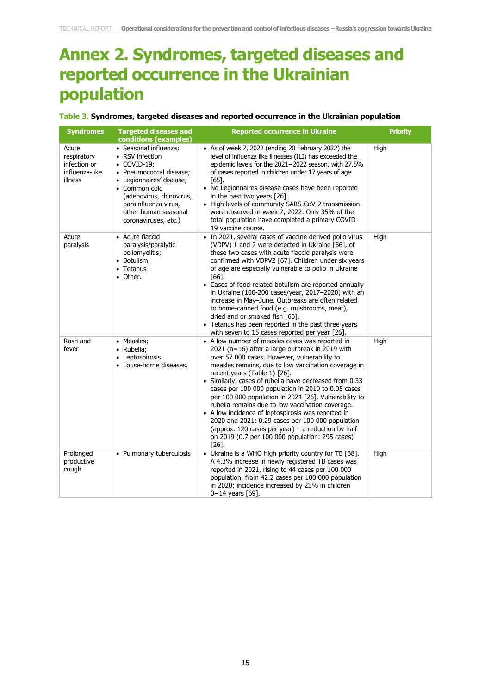# **Annex 2. Syndromes, targeted diseases and reported occurrence in the Ukrainian population**

#### **Table 3. Syndromes, targeted diseases and reported occurrence in the Ukrainian population**

| <b>Syndromes</b>                                                  | <b>Targeted diseases and</b><br>conditions (examples)                                                                                                                                                                                       | <b>Reported occurrence in Ukraine</b>                                                                                                                                                                                                                                                                                                                                                                                                                                                                                                                                                                                                                                                              | <b>Priority</b> |
|-------------------------------------------------------------------|---------------------------------------------------------------------------------------------------------------------------------------------------------------------------------------------------------------------------------------------|----------------------------------------------------------------------------------------------------------------------------------------------------------------------------------------------------------------------------------------------------------------------------------------------------------------------------------------------------------------------------------------------------------------------------------------------------------------------------------------------------------------------------------------------------------------------------------------------------------------------------------------------------------------------------------------------------|-----------------|
| Acute<br>respiratory<br>infection or<br>influenza-like<br>illness | • Seasonal influenza;<br>• RSV infection<br>$\bullet$ COVID-19;<br>• Pneumococcal disease;<br>• Legionnaires' disease;<br>• Common cold<br>(adenovirus, rhinovirus,<br>parainfluenza virus,<br>other human seasonal<br>coronaviruses, etc.) | • As of week 7, 2022 (ending 20 February 2022) the<br>level of influenza like illnesses (ILI) has exceeded the<br>epidemic levels for the 2021-2022 season, with 27.5%<br>of cases reported in children under 17 years of age<br>F651.<br>• No Legionnaires disease cases have been reported<br>in the past two years [26].<br>• High levels of community SARS-CoV-2 transmission<br>were observed in week 7, 2022. Only 35% of the<br>total population have completed a primary COVID-<br>19 vaccine course.                                                                                                                                                                                      | High            |
| Acute<br>paralysis                                                | • Acute flaccid<br>paralysis/paralytic<br>poliomyelitis;<br>• Botulism;<br>• Tetanus<br>• Other.                                                                                                                                            | • In 2021, several cases of vaccine derived polio virus<br>(VDPV) 1 and 2 were detected in Ukraine [66], of<br>these two cases with acute flaccid paralysis were<br>confirmed with VDPV2 [67]. Children under six years<br>of age are especially vulnerable to polio in Ukraine<br>$[66]$ .<br>• Cases of food-related botulism are reported annually<br>in Ukraine (100-200 cases/year, 2017-2020) with an<br>increase in May-June. Outbreaks are often related<br>to home-canned food (e.g. mushrooms, meat),<br>dried and or smoked fish [66].<br>• Tetanus has been reported in the past three years<br>with seven to 15 cases reported per year [26].                                         | High            |
| Rash and<br>fever                                                 | • Measles;<br>Rubella;<br>$\bullet$<br>Leptospirosis<br>$\bullet$<br>• Louse-borne diseases.                                                                                                                                                | • A low number of measles cases was reported in<br>2021 (n=16) after a large outbreak in 2019 with<br>over 57 000 cases. However, vulnerability to<br>measles remains, due to low vaccination coverage in<br>recent years (Table 1) [26].<br>• Similarly, cases of rubella have decreased from 0.33<br>cases per 100 000 population in 2019 to 0.05 cases<br>per 100 000 population in 2021 [26]. Vulnerability to<br>rubella remains due to low vaccination coverage.<br>• A low incidence of leptospirosis was reported in<br>2020 and 2021: 0.29 cases per 100 000 population<br>(approx. 120 cases per year) – a reduction by half<br>on 2019 (0.7 per 100 000 population: 295 cases)<br>[26]. | High            |
| Prolonged<br>productive<br>cough                                  | • Pulmonary tuberculosis                                                                                                                                                                                                                    | • Ukraine is a WHO high priority country for TB [68].<br>A 4.3% increase in newly registered TB cases was<br>reported in 2021, rising to 44 cases per 100 000<br>population, from 42.2 cases per 100 000 population<br>in 2020; incidence increased by 25% in children<br>$0 - 14$ years [69].                                                                                                                                                                                                                                                                                                                                                                                                     | High            |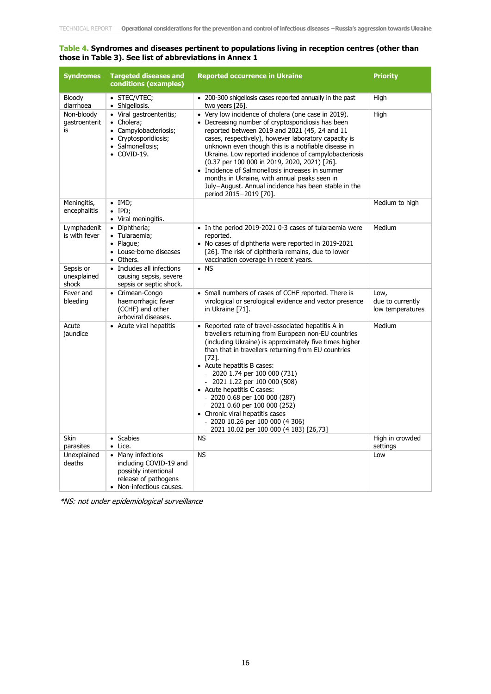#### **Table 4. Syndromes and diseases pertinent to populations living in reception centres (other than those in Table 3). See list of abbreviations in Annex 1**

| <b>Syndromes</b>                  | <b>Targeted diseases and</b><br>conditions (examples)                                                                    | <b>Reported occurrence in Ukraine</b>                                                                                                                                                                                                                                                                                                                                                                                                                                                                                                                                   | <b>Priority</b>                              |
|-----------------------------------|--------------------------------------------------------------------------------------------------------------------------|-------------------------------------------------------------------------------------------------------------------------------------------------------------------------------------------------------------------------------------------------------------------------------------------------------------------------------------------------------------------------------------------------------------------------------------------------------------------------------------------------------------------------------------------------------------------------|----------------------------------------------|
| Bloody<br>diarrhoea               | • STEC/VTEC;<br>• Shigellosis.                                                                                           | • 200-300 shigellosis cases reported annually in the past<br>two years [26].                                                                                                                                                                                                                                                                                                                                                                                                                                                                                            | High                                         |
| Non-bloody<br>gastroenterit<br>is | · Viral gastroenteritis;<br>• Cholera;<br>• Campylobacteriosis;<br>• Cryptosporidiosis;<br>· Salmonellosis;<br>COVID-19. | • Very low incidence of cholera (one case in 2019).<br>• Decreasing number of cryptosporidiosis has been<br>reported between 2019 and 2021 (45, 24 and 11<br>cases, respectively), however laboratory capacity is<br>unknown even though this is a notifiable disease in<br>Ukraine. Low reported incidence of campylobacteriosis<br>(0.37 per 100 000 in 2019, 2020, 2021) [26].<br>• Incidence of Salmonellosis increases in summer<br>months in Ukraine, with annual peaks seen in<br>July-August. Annual incidence has been stable in the<br>period 2015-2019 [70]. | High                                         |
| Meningitis,<br>encephalitis       | $\bullet$ IMD;<br>$\bullet$ IPD;<br>• Viral meningitis.                                                                  |                                                                                                                                                                                                                                                                                                                                                                                                                                                                                                                                                                         | Medium to high                               |
| Lymphadenit<br>is with fever      | • Diphtheria;<br>· Tularaemia;<br>• Plague;<br>• Louse-borne diseases<br>• Others.                                       | • In the period 2019-2021 0-3 cases of tularaemia were<br>reported.<br>• No cases of diphtheria were reported in 2019-2021<br>[26]. The risk of diphtheria remains, due to lower<br>vaccination coverage in recent years.                                                                                                                                                                                                                                                                                                                                               | Medium                                       |
| Sepsis or<br>unexplained<br>shock | • Includes all infections<br>causing sepsis, severe<br>sepsis or septic shock.                                           | $\bullet$ NS                                                                                                                                                                                                                                                                                                                                                                                                                                                                                                                                                            |                                              |
| Fever and<br>bleeding             | • Crimean-Congo<br>haemorrhagic fever<br>(CCHF) and other<br>arboviral diseases.                                         | • Small numbers of cases of CCHF reported. There is<br>virological or serological evidence and vector presence<br>in Ukraine [71].                                                                                                                                                                                                                                                                                                                                                                                                                                      | Low,<br>due to currently<br>low temperatures |
| Acute<br>jaundice                 | • Acute viral hepatitis                                                                                                  | • Reported rate of travel-associated hepatitis A in<br>travellers returning from European non-EU countries<br>(including Ukraine) is approximately five times higher<br>than that in travellers returning from EU countries<br>$[72]$ .<br>• Acute hepatitis B cases:<br>- 2020 1.74 per 100 000 (731)<br>$-2021$ 1.22 per 100 000 (508)<br>• Acute hepatitis C cases:<br>- 2020 0.68 per 100 000 (287)<br>$-20210.60$ per 100 000 (252)<br>• Chronic viral hepatitis cases<br>$-2020$ 10.26 per 100 000 (4 306)<br>- 2021 10.02 per 100 000 (4 183) [26,73]            | Medium                                       |
| <b>Skin</b><br>parasites          | • Scabies<br>$\bullet$ Lice.                                                                                             | <b>NS</b>                                                                                                                                                                                                                                                                                                                                                                                                                                                                                                                                                               | High in crowded<br>settings                  |
| Unexplained<br>deaths             | • Many infections<br>including COVID-19 and<br>possibly intentional<br>release of pathogens<br>• Non-infectious causes.  | <b>NS</b>                                                                                                                                                                                                                                                                                                                                                                                                                                                                                                                                                               | Low                                          |

\*NS: not under epidemiological surveillance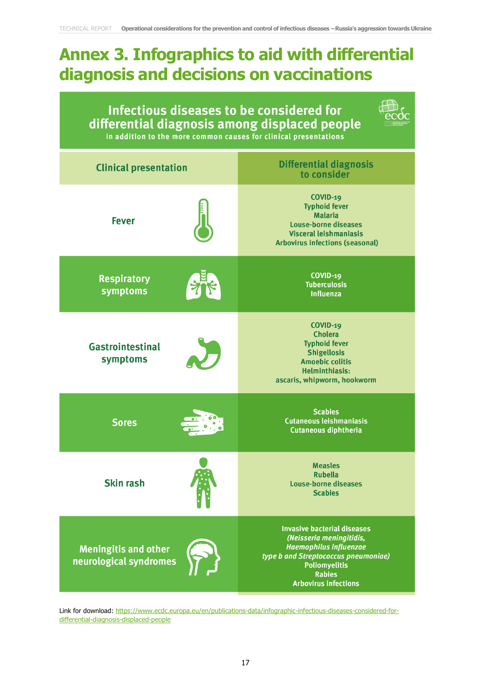# **Annex 3. Infographics to aid with differential diagnosis and decisions on vaccinations**

| Infectious diseases to be considered for<br>differential diagnosis among displaced people<br>in addition to the more common causes for clinical presentations |                                                                                                                                                                                                                 |  |  |  |
|---------------------------------------------------------------------------------------------------------------------------------------------------------------|-----------------------------------------------------------------------------------------------------------------------------------------------------------------------------------------------------------------|--|--|--|
| <b>Clinical presentation</b>                                                                                                                                  | <b>Differential diagnosis</b><br>to consider                                                                                                                                                                    |  |  |  |
| <b>Fever</b>                                                                                                                                                  | <b>COVID-19</b><br><b>Typhoid fever</b><br><b>Malaria</b><br><b>Louse-borne diseases</b><br><b>Visceral leishmaniasis</b><br><b>Arbovirus infections (seasonal)</b>                                             |  |  |  |
| <b>Respiratory</b><br>symptoms                                                                                                                                | $COVID-19$<br><b>Tuberculosis</b><br><b>Influenza</b>                                                                                                                                                           |  |  |  |
| <b>Gastrointestinal</b><br>symptoms                                                                                                                           | <b>COVID-19</b><br><b>Cholera</b><br><b>Typhoid fever</b><br><b>Shigellosis</b><br><b>Amoebic colitis</b><br><b>Helminthiasis:</b><br>ascaris, whipworm, hookworm                                               |  |  |  |
| <b>Sores</b>                                                                                                                                                  | <b>Scabies</b><br><b>Cutaneous leishmaniasis</b><br><b>Cutaneous diphtheria</b>                                                                                                                                 |  |  |  |
| <b>Skin rash</b>                                                                                                                                              | Measles<br><b>Rubella</b><br><b>Louse-borne diseases</b><br><b>Scabies</b>                                                                                                                                      |  |  |  |
| <b>Meningitis and other</b><br>neurological syndromes                                                                                                         | <b>Invasive bacterial diseases</b><br>(Neisseria meningitidis,<br><b>Haemophilus influenzae</b><br>type b and Streptococcus pneumoniae)<br><b>Poliomyelitis</b><br><b>Rabies</b><br><b>Arbovirus infections</b> |  |  |  |

Link for download: [https://www.ecdc.europa.eu/en/publications-data/infographic-infectious-diseases-considered-for](https://eur02.safelinks.protection.outlook.com/?url=https%3A%2F%2Fwww.ecdc.europa.eu%2Fen%2Fpublications-data%2Finfographic-infectious-diseases-considered-for-differential-diagnosis-displaced-people&data=04%7C01%7C%7C5e38d05803844247ccb008da0021d37f%7C6ad73702409c4046ae59cc4bea334507%7C0%7C0%7C637822442531314677%7CUnknown%7CTWFpbGZsb3d8eyJWIjoiMC4wLjAwMDAiLCJQIjoiV2luMzIiLCJBTiI6Ik1haWwiLCJXVCI6Mn0%3D%7C3000&sdata=uLb2wbbb62riOMnneGFHu0eUV02rlAS8EXBBMtbOhWE%3D&reserved=0)[differential-diagnosis-displaced-people](https://eur02.safelinks.protection.outlook.com/?url=https%3A%2F%2Fwww.ecdc.europa.eu%2Fen%2Fpublications-data%2Finfographic-infectious-diseases-considered-for-differential-diagnosis-displaced-people&data=04%7C01%7C%7C5e38d05803844247ccb008da0021d37f%7C6ad73702409c4046ae59cc4bea334507%7C0%7C0%7C637822442531314677%7CUnknown%7CTWFpbGZsb3d8eyJWIjoiMC4wLjAwMDAiLCJQIjoiV2luMzIiLCJBTiI6Ik1haWwiLCJXVCI6Mn0%3D%7C3000&sdata=uLb2wbbb62riOMnneGFHu0eUV02rlAS8EXBBMtbOhWE%3D&reserved=0)